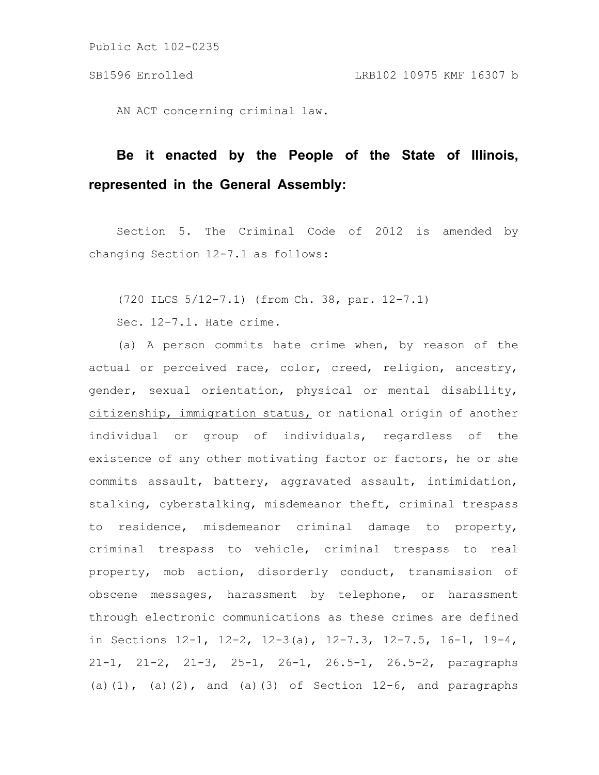AN ACT concerning criminal law.

## **Be it enacted by the People of the State of Illinois, represented in the General Assembly:**

Section 5. The Criminal Code of 2012 is amended by changing Section 12-7.1 as follows:

(720 ILCS 5/12-7.1) (from Ch. 38, par. 12-7.1)

Sec. 12-7.1. Hate crime.

(a) A person commits hate crime when, by reason of the actual or perceived race, color, creed, religion, ancestry, gender, sexual orientation, physical or mental disability, citizenship, immigration status, or national origin of another individual or group of individuals, regardless of the existence of any other motivating factor or factors, he or she commits assault, battery, aggravated assault, intimidation, stalking, cyberstalking, misdemeanor theft, criminal trespass to residence, misdemeanor criminal damage to property, criminal trespass to vehicle, criminal trespass to real property, mob action, disorderly conduct, transmission of obscene messages, harassment by telephone, or harassment through electronic communications as these crimes are defined in Sections 12-1, 12-2, 12-3(a), 12-7.3, 12-7.5, 16-1, 19-4, 21-1, 21-2, 21-3, 25-1, 26-1, 26.5-1, 26.5-2, paragraphs (a)(1), (a)(2), and (a)(3) of Section  $12-6$ , and paragraphs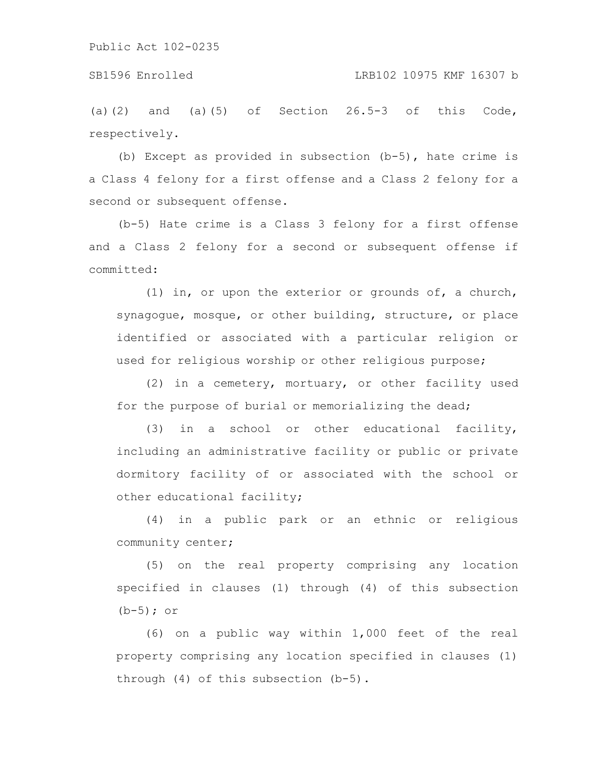(a)(2) and (a)(5) of Section  $26.5-3$  of this Code, respectively.

(b) Except as provided in subsection (b-5), hate crime is a Class 4 felony for a first offense and a Class 2 felony for a second or subsequent offense.

(b-5) Hate crime is a Class 3 felony for a first offense and a Class 2 felony for a second or subsequent offense if committed:

(1) in, or upon the exterior or grounds of, a church, synagogue, mosque, or other building, structure, or place identified or associated with a particular religion or used for religious worship or other religious purpose;

(2) in a cemetery, mortuary, or other facility used for the purpose of burial or memorializing the dead;

(3) in a school or other educational facility, including an administrative facility or public or private dormitory facility of or associated with the school or other educational facility;

(4) in a public park or an ethnic or religious community center;

(5) on the real property comprising any location specified in clauses (1) through (4) of this subsection (b-5); or

(6) on a public way within 1,000 feet of the real property comprising any location specified in clauses (1) through (4) of this subsection (b-5).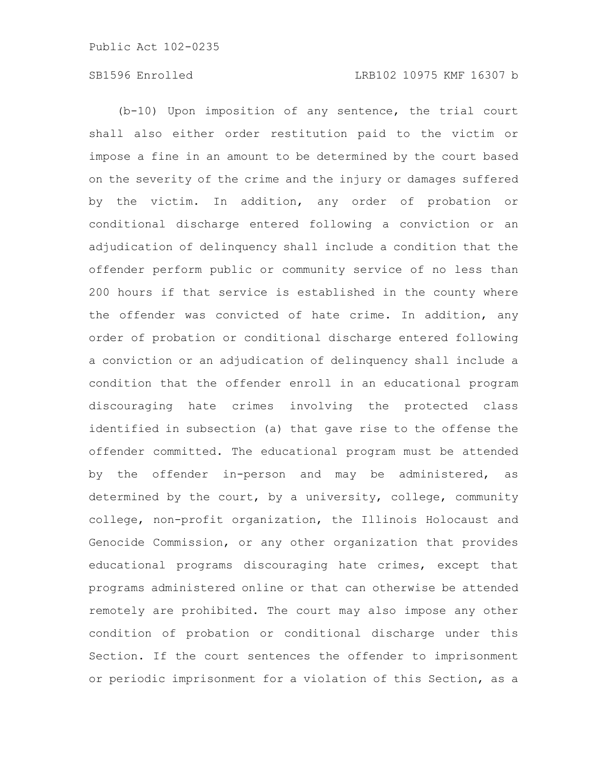## SB1596 Enrolled LRB102 10975 KMF 16307 b

(b-10) Upon imposition of any sentence, the trial court shall also either order restitution paid to the victim or impose a fine in an amount to be determined by the court based on the severity of the crime and the injury or damages suffered by the victim. In addition, any order of probation or conditional discharge entered following a conviction or an adjudication of delinquency shall include a condition that the offender perform public or community service of no less than 200 hours if that service is established in the county where the offender was convicted of hate crime. In addition, any order of probation or conditional discharge entered following a conviction or an adjudication of delinquency shall include a condition that the offender enroll in an educational program discouraging hate crimes involving the protected class identified in subsection (a) that gave rise to the offense the offender committed. The educational program must be attended by the offender in-person and may be administered, as determined by the court, by a university, college, community college, non-profit organization, the Illinois Holocaust and Genocide Commission, or any other organization that provides educational programs discouraging hate crimes, except that programs administered online or that can otherwise be attended remotely are prohibited. The court may also impose any other condition of probation or conditional discharge under this Section. If the court sentences the offender to imprisonment or periodic imprisonment for a violation of this Section, as a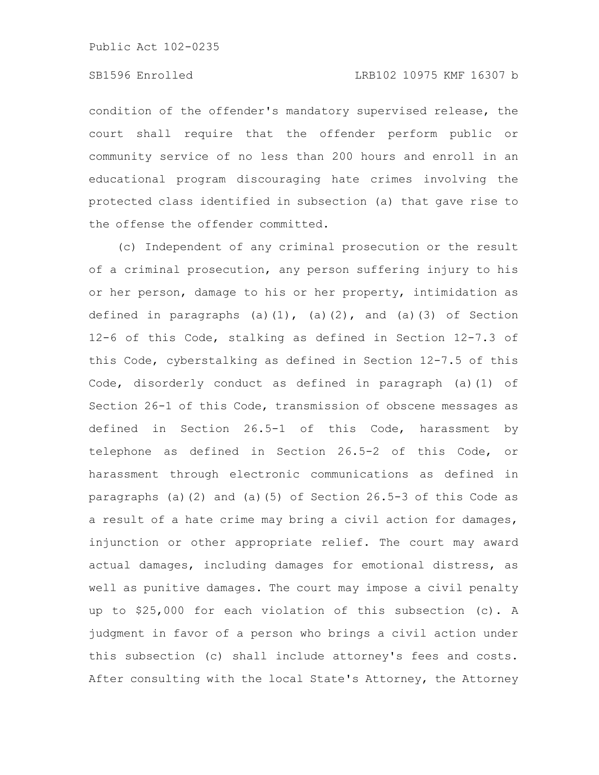## SB1596 Enrolled LRB102 10975 KMF 16307 b

condition of the offender's mandatory supervised release, the court shall require that the offender perform public or community service of no less than 200 hours and enroll in an educational program discouraging hate crimes involving the protected class identified in subsection (a) that gave rise to the offense the offender committed.

(c) Independent of any criminal prosecution or the result of a criminal prosecution, any person suffering injury to his or her person, damage to his or her property, intimidation as defined in paragraphs (a)(1), (a)(2), and (a)(3) of Section 12-6 of this Code, stalking as defined in Section 12-7.3 of this Code, cyberstalking as defined in Section 12-7.5 of this Code, disorderly conduct as defined in paragraph (a)(1) of Section 26-1 of this Code, transmission of obscene messages as defined in Section 26.5-1 of this Code, harassment by telephone as defined in Section 26.5-2 of this Code, or harassment through electronic communications as defined in paragraphs (a)(2) and (a)(5) of Section 26.5-3 of this Code as a result of a hate crime may bring a civil action for damages, injunction or other appropriate relief. The court may award actual damages, including damages for emotional distress, as well as punitive damages. The court may impose a civil penalty up to \$25,000 for each violation of this subsection (c). A judgment in favor of a person who brings a civil action under this subsection (c) shall include attorney's fees and costs. After consulting with the local State's Attorney, the Attorney